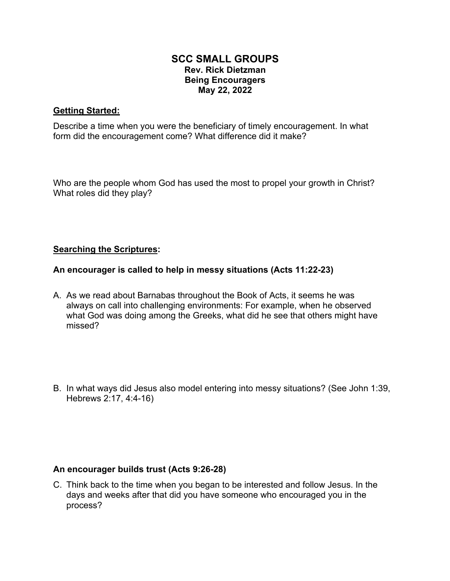## **SCC SMALL GROUPS Rev. Rick Dietzman Being Encouragers May 22, 2022**

## **Getting Started:**

Describe a time when you were the beneficiary of timely encouragement. In what form did the encouragement come? What difference did it make?

Who are the people whom God has used the most to propel your growth in Christ? What roles did they play?

## **Searching the Scriptures:**

#### **An encourager is called to help in messy situations (Acts 11:22-23)**

- A. As we read about Barnabas throughout the Book of Acts, it seems he was always on call into challenging environments: For example, when he observed what God was doing among the Greeks, what did he see that others might have missed?
- B. In what ways did Jesus also model entering into messy situations? (See John 1:39, Hebrews 2:17, 4:4-16)

#### **An encourager builds trust (Acts 9:26-28)**

C. Think back to the time when you began to be interested and follow Jesus. In the days and weeks after that did you have someone who encouraged you in the process?